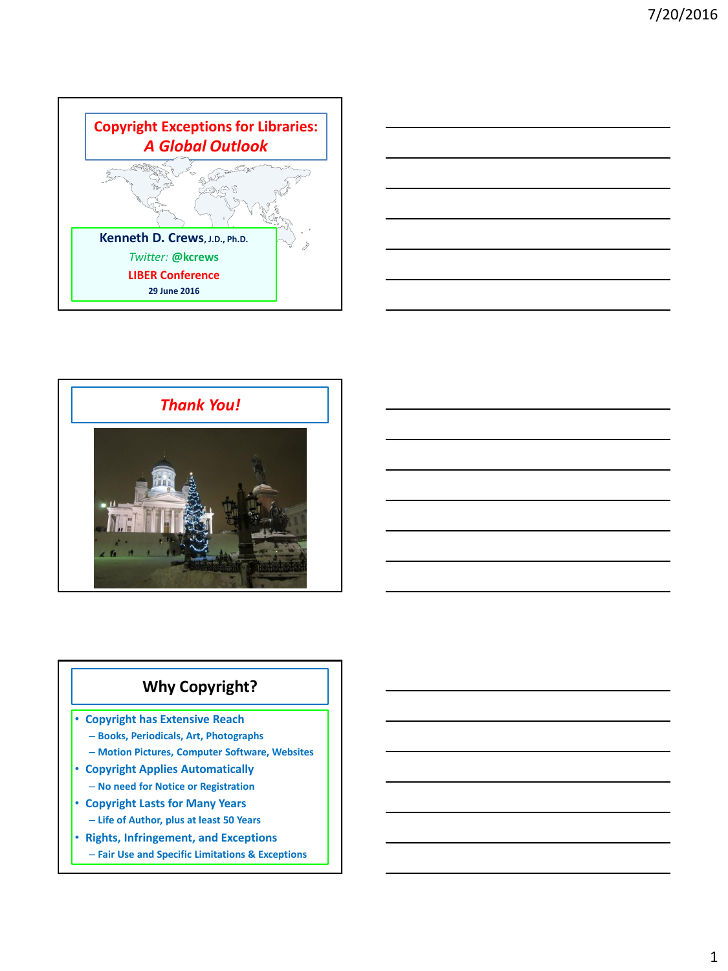





# **Why Copyright?**

• **Copyright has Extensive Reach**

- **Books, Periodicals, Art, Photographs**
- **Motion Pictures, Computer Software, Websites**
- **Copyright Applies Automatically** – **No need for Notice or Registration**
- **Copyright Lasts for Many Years**
	- **Life of Author, plus at least 50 Years**
- **Rights, Infringement, and Exceptions**
	- **Fair Use and Specific Limitations & Exceptions**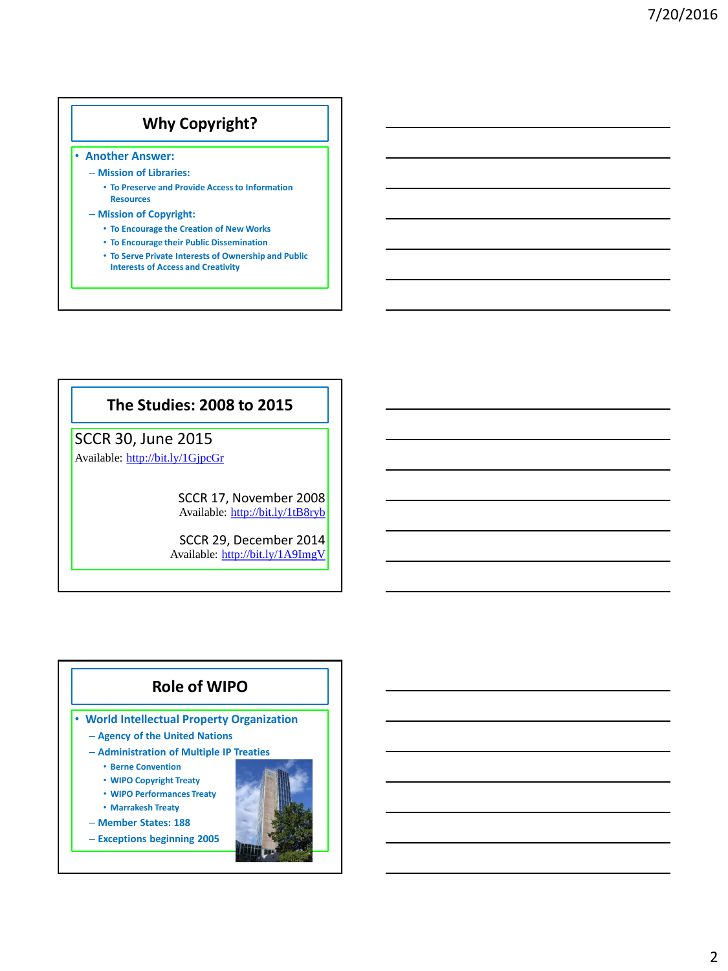# **Why Copyright?**

- **Another Answer:**
	- **Mission of Libraries:**
		- **To Preserve and Provide Access to Information Resources**
	- **Mission of Copyright:**
		- **To Encourage the Creation of New Works**
		- **To Encourage their Public Dissemination**
		- **To Serve Private Interests of Ownership and Public Interests of Access and Creativity**

### **The Studies: 2008 to 2015**

# SCCR 30, June 2015

Available: <http://bit.ly/1GjpcGr>

SCCR 17, November 2008 Available: <http://bit.ly/1tB8ryb>

SCCR 29, December 2014 Available: <http://bit.ly/1A9ImgV>

## **Role of WIPO**

- **World Intellectual Property Organization**
	- **Agency of the United Nations**
	- **Administration of Multiple IP Treaties**
		- **Berne Convention**
		- **WIPO Copyright Treaty**
		- **WIPO Performances Treaty**
		- **Marrakesh Treaty**
	- **Member States: 188**
	- **Exceptions beginning 2005**

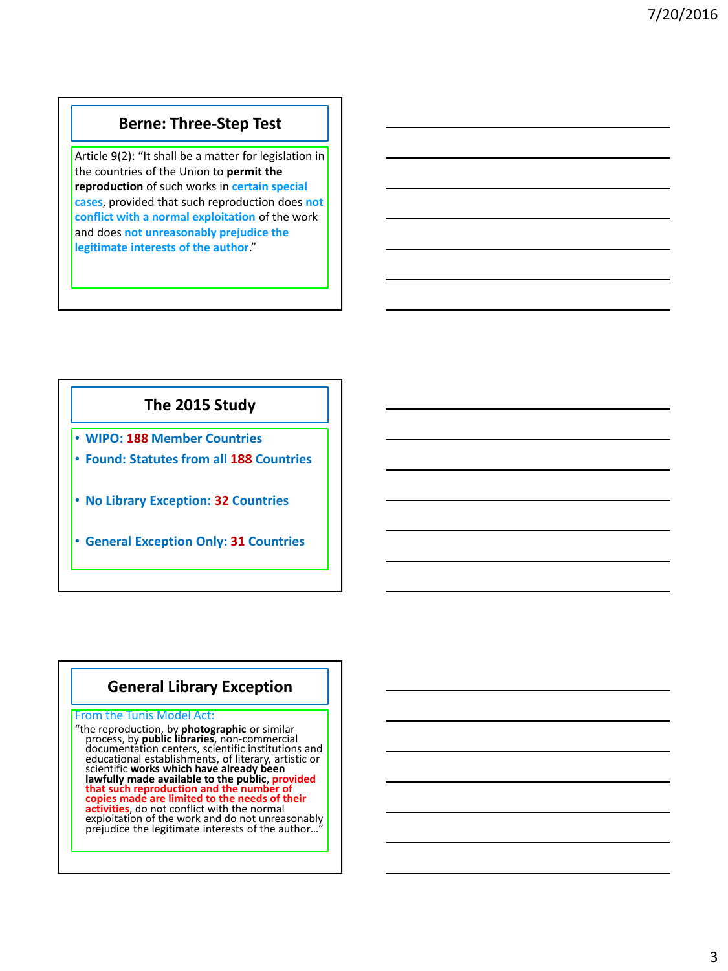### **Berne: Three-Step Test**

Article 9(2): "It shall be a matter for legislation in the countries of the Union to **permit the reproduction** of such works in **certain special cases**, provided that such reproduction does **not conflict with a normal exploitation** of the work and does **not unreasonably prejudice the legitimate interests of the author**."

## **The 2015 Study**

- **WIPO: 188 Member Countries**
- **Found: Statutes from all 188 Countries**
- **No Library Exception: 32 Countries**
- **General Exception Only: 31 Countries**

### **General Library Exception**

#### From the Tunis Model Act:

"the reproduction, by **photographic** or similar process, by **public libraries**, non-commercial documentation centers, scientific institutions and educational establishments, of literary, artistic or scientific **works which have already been lawfully made available to the public**, **provided that such reproduction and the number of copies made are limited to the needs of their activities**, do not conflict with the normal exploitation of the work and do not unreasonably prejudice the legitimate interests of the author...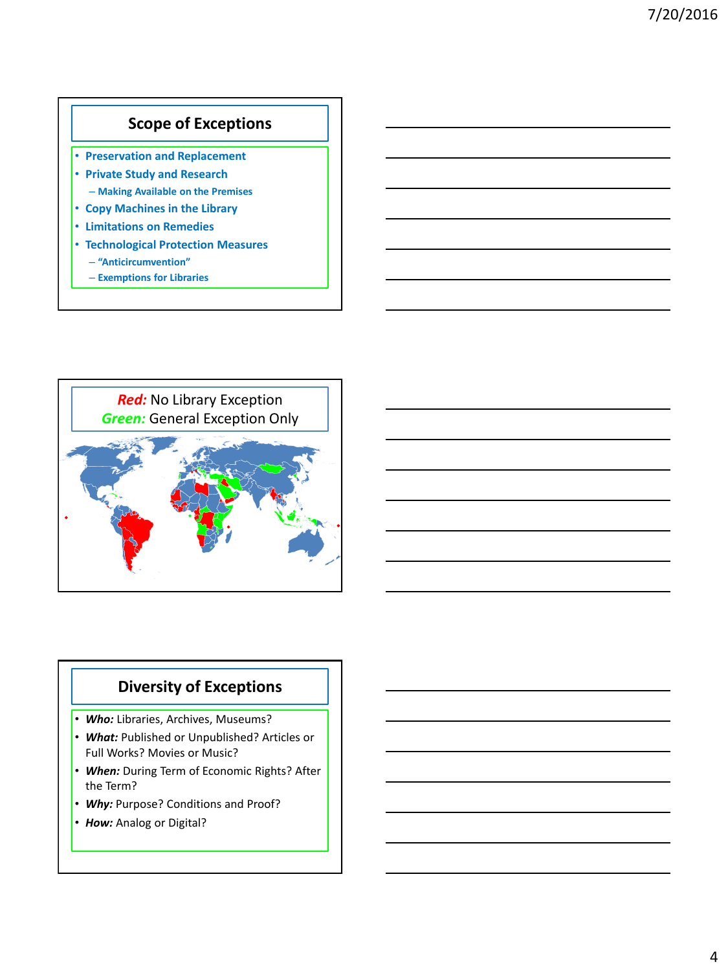## **Scope of Exceptions**

- **Preservation and Replacement** • **Private Study and Research** – **Making Available on the Premises**
- **Copy Machines in the Library**
- **Limitations on Remedies**
- **Technological Protection Measures**
	- **"Anticircumvention"**
	- **Exemptions for Libraries**



# **Diversity of Exceptions**

- *Who:* Libraries, Archives, Museums?
- *What:* Published or Unpublished? Articles or Full Works? Movies or Music?
- *When:* During Term of Economic Rights? After the Term?
- *Why:* Purpose? Conditions and Proof?
- *How:* Analog or Digital?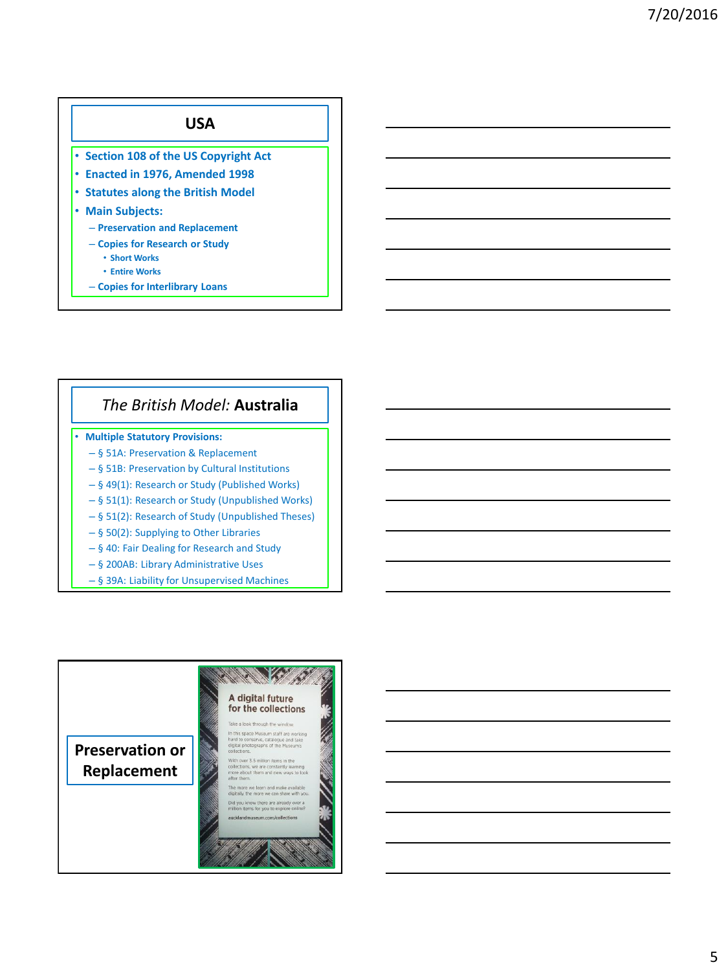# **USA** • **Section 108 of the US Copyright Act** • **Enacted in 1976, Amended 1998** • **Statutes along the British Model** • **Main Subjects:** – **Preservation and Replacement** – **Copies for Research or Study** • **Short Works** • **Entire Works**

– **Copies for Interlibrary Loans**

## *The British Model:* **Australia**

- **Multiple Statutory Provisions:**
	- § 51A: Preservation & Replacement
	- § 51B: Preservation by Cultural Institutions
	- § 49(1): Research or Study (Published Works)
	- § 51(1): Research or Study (Unpublished Works)
	- § 51(2): Research of Study (Unpublished Theses)
	- § 50(2): Supplying to Other Libraries
	- § 40: Fair Dealing for Research and Study
	- § 200AB: Library Administrative Uses
	- § 39A: Liability for Unsupervised Machines

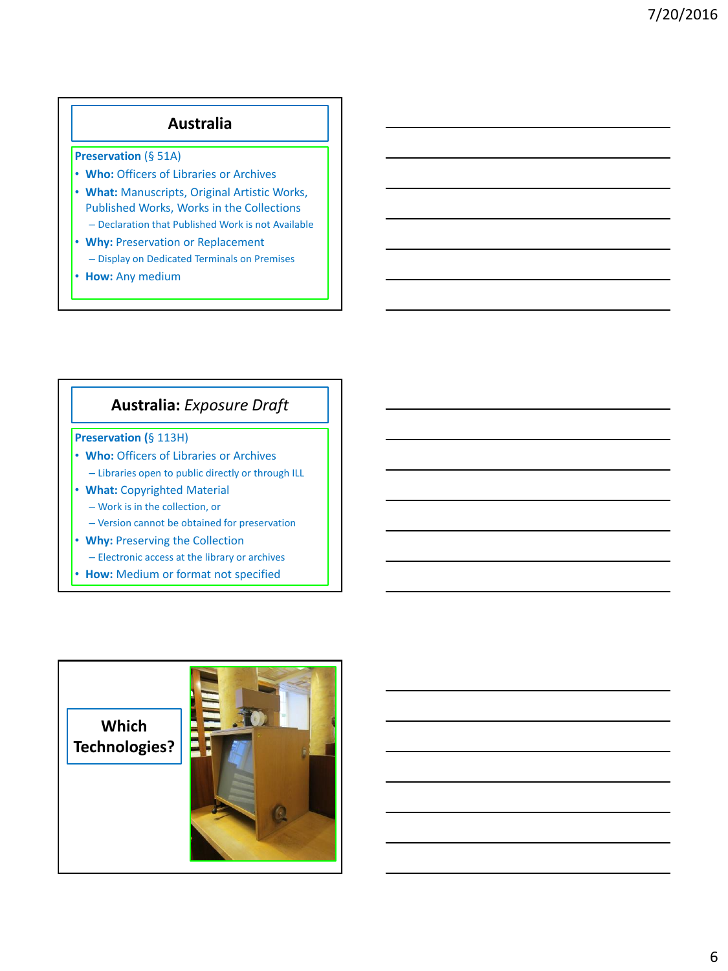# **Australia**

**Preservation** (§ 51A)

- **Who:** Officers of Libraries or Archives
- **What:** Manuscripts, Original Artistic Works, Published Works, Works in the Collections
	- Declaration that Published Work is not Available
- **Why:** Preservation or Replacement – Display on Dedicated Terminals on Premises
- **How:** Any medium

### **Australia:** *Exposure Draft*

#### **Preservation (**§ 113H)

- **Who:** Officers of Libraries or Archives
	- Libraries open to public directly or through ILL
- **What:** Copyrighted Material
	- Work is in the collection, or
	- Version cannot be obtained for preservation
- **Why:** Preserving the Collection
	- Electronic access at the library or archives
- **How:** Medium or format not specified

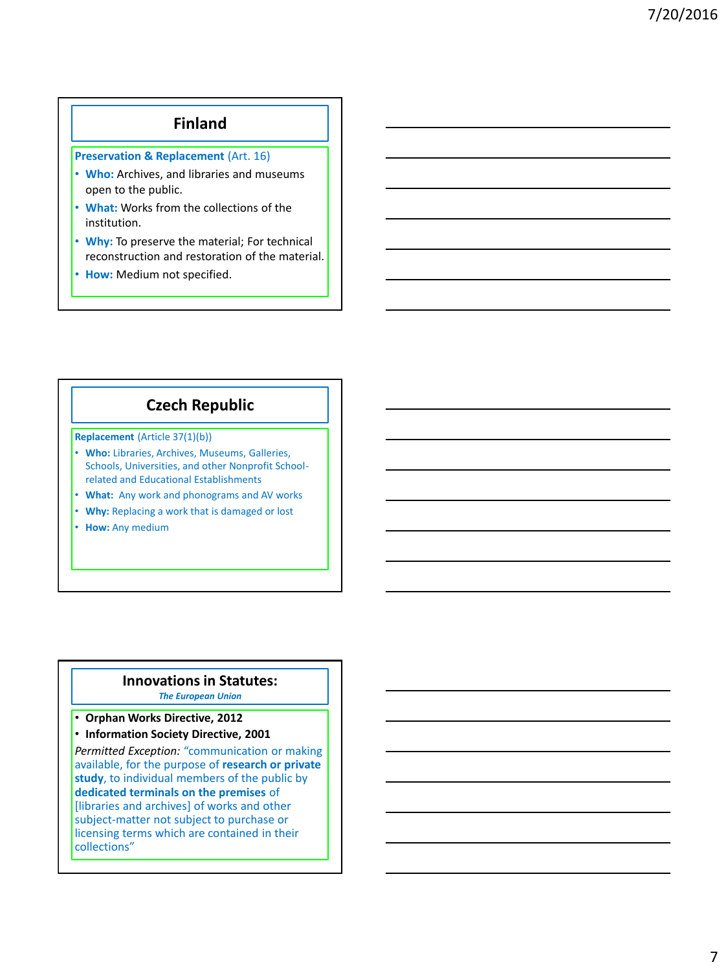#### **Finland**

**Preservation & Replacement** (Art. 16)

- **Who:** Archives, and libraries and museums open to the public.
- **What:** Works from the collections of the institution.
- **Why:** To preserve the material; For technical reconstruction and restoration of the material.
- **How:** Medium not specified.

## **Czech Republic**

**Replacement** (Article 37(1)(b))

- **Who:** Libraries, Archives, Museums, Galleries, Schools, Universities, and other Nonprofit Schoolrelated and Educational Establishments
- **What:** Any work and phonograms and AV works
- **Why:** Replacing a work that is damaged or lost
- **How:** Any medium

#### **Innovations in Statutes:** *The European Union*

#### • **Orphan Works Directive, 2012**

• **Information Society Directive, 2001**

*Permitted Exception:* "communication or making available, for the purpose of **research or private study**, to individual members of the public by **dedicated terminals on the premises** of [libraries and archives] of works and other subject-matter not subject to purchase or licensing terms which are contained in their collections"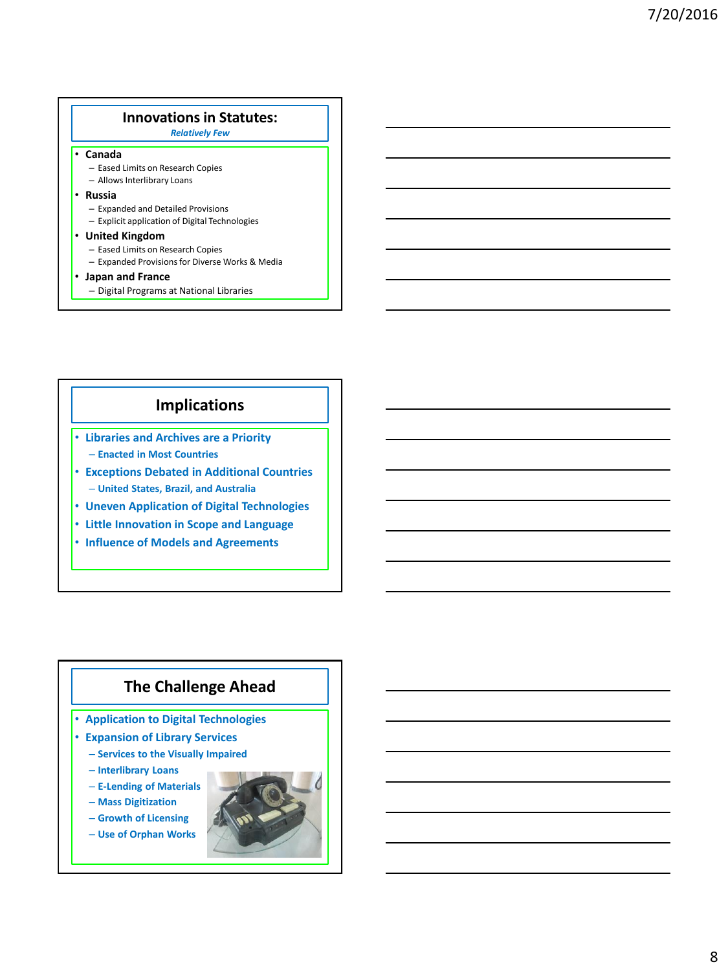### **Innovations in Statutes:**

#### *Relatively Few*

#### • **Canada**

- Eased Limits on Research Copies
- Allows Interlibrary Loans
- **Russia**
	- Expanded and Detailed Provisions
	- Explicit application of Digital Technologies
- **United Kingdom**
	- Eased Limits on Research Copies – Expanded Provisions for Diverse Works & Media
- **Japan and France**
	- Digital Programs at National Libraries

## **Implications**

- **Libraries and Archives are a Priority** – **Enacted in Most Countries**
- **Exceptions Debated in Additional Countries** – **United States, Brazil, and Australia**
- **Uneven Application of Digital Technologies**
- **Little Innovation in Scope and Language**
- **Influence of Models and Agreements**

# **The Challenge Ahead**

- **Application to Digital Technologies**
- **Expansion of Library Services**
	- **Services to the Visually Impaired**
	- **Interlibrary Loans**
	- **E-Lending of Materials**
	- **Mass Digitization**
	- **Growth of Licensing**
	- **Use of Orphan Works**